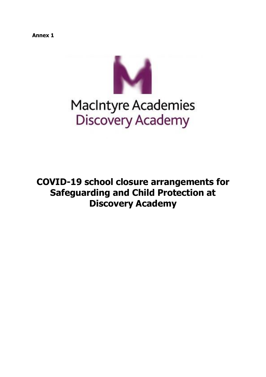**Annex 1**



# MacIntyre Academies<br>Discovery Academy

**COVID-19 school closure arrangements for Safeguarding and Child Protection at Discovery Academy**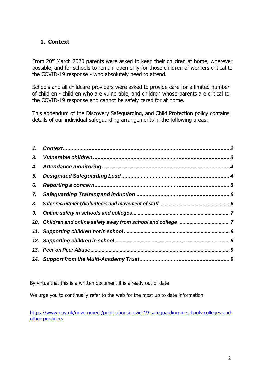# <span id="page-1-0"></span>**1. Context**

From 20th March 2020 parents were asked to keep their children at home, wherever possible, and for schools to remain open only for those children of workers critical to the COVID-19 response - who absolutely need to attend.

Schools and all childcare providers were asked to provide care for a limited number of children - children who are vulnerable, and children whose parents are critical to the COVID-19 response and cannot be safely cared for at home.

This addendum of the Discovery Safeguarding, and Child Protection policy contains details of our individual safeguarding arrangements in the following areas:

| 6. |  |
|----|--|
|    |  |
| 8. |  |
|    |  |
|    |  |
|    |  |
|    |  |
|    |  |
|    |  |

By virtue that this is a written document it is already out of date

We urge you to continually refer to the web for the most up to date information

[https://www.gov.uk/government/publications/covid-19-safeguarding-in-schools-colleges-and](https://www.gov.uk/government/publications/covid-19-safeguarding-in-schools-colleges-and-other-providers)[other-providers](https://www.gov.uk/government/publications/covid-19-safeguarding-in-schools-colleges-and-other-providers)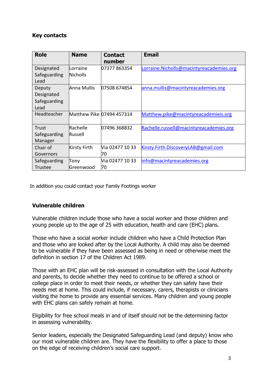## **Key contacts**

| <b>Role</b>                | <b>Name</b>               | <b>Contact</b><br>number | <b>Email</b>                             |
|----------------------------|---------------------------|--------------------------|------------------------------------------|
| Designated<br>Safeguarding | lLorraine<br>Nicholls     | 07377 863354             | Lorraine.Nicholls@macintyreacademies.org |
| Lead                       |                           |                          |                                          |
| Deputy                     | Anna Mullis               | 07508 674854             | anna.mullis@macintyreacademies.org       |
| Designated                 |                           |                          |                                          |
| Safeguarding               |                           |                          |                                          |
| Lead                       |                           |                          |                                          |
| Headteacher                | Matthew Pike 07494 457314 |                          | Matthew.pike@macintyreacademieis.org     |
| Trust                      | Rachelle                  | 07496 368832             | Rachelle.russell@macintyreacademies.org  |
| Safeguarding               | <b>Russell</b>            |                          |                                          |
| Manager                    |                           |                          |                                          |
| Chair of                   | Kirsty Firth              | Nia 02477 10 33          | Kirsty.Firth.DiscoveryLAB@gmail.com      |
| Governors                  |                           | 70                       |                                          |
| Safeguarding               | Tony                      | Via 02477 10 33          | info@macintyreacademies.org              |
| <b>Trustee</b>             | Greenwood                 | 70                       |                                          |

In addition you could contact your Family Footings worker

## **Vulnerable children**

Vulnerable children include those who have a social worker and those children and young people up to the age of 25 with education, health and care (EHC) plans.

Those who have a social worker include children who have a Child Protection Plan and those who are looked after by the Local Authority. A child may also be deemed to be vulnerable if they have been assessed as being in need or otherwise meet the definition in section 17 of the Children Act 1989.

Those with an EHC plan will be risk-assessed in consultation with the Local Authority and parents, to decide whether they need to continue to be offered a school or college place in order to meet their needs, or whether they can safely have their needs met at home. This could include, if necessary, carers, therapists or clinicians visiting the home to provide any essential services. Many children and young people with EHC plans can safely remain at home.

Eligibility for free school meals in and of itself should not be the determining factor in assessing vulnerability.

Senior leaders, especially the Designated Safeguarding Lead (and deputy) know who our most vulnerable children are. They have the flexibility to offer a place to those on the edge of receiving children's social care support.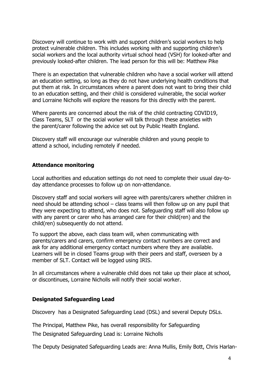Discovery will continue to work with and support children's social workers to help protect vulnerable children. This includes working with and supporting children's social workers and the local authority virtual school head (VSH) for looked-after and previously looked-after children. The lead person for this will be: Matthew Pike

There is an expectation that vulnerable children who have a social worker will attend an education setting, so long as they do not have underlying health conditions that put them at risk. In circumstances where a parent does not want to bring their child to an education setting, and their child is considered vulnerable, the social worker and Lorraine Nicholls will explore the reasons for this directly with the parent.

Where parents are concerned about the risk of the child contracting COVID19, Class Teams, SLT or the social worker will talk through these anxieties with the parent/carer following the advice set out by Public Health England.

Discovery staff will encourage our vulnerable children and young people to attend a school, including remotely if needed.

## **Attendance monitoring**

Local authorities and education settings do not need to complete their usual day-today attendance processes to follow up on non-attendance.

Discovery staff and social workers will agree with parents/carers whether children in need should be attending school – class teams will then follow up on any pupil that they were expecting to attend, who does not. Safeguarding staff will also follow up with any parent or carer who has arranged care for their child(ren) and the child(ren) subsequently do not attend.

To support the above, each class team will, when communicating with parents/carers and carers, confirm emergency contact numbers are correct and ask for any additional emergency contact numbers where they are available. Learners will be in closed Teams group with their peers and staff, overseen by a member of SLT. Contact will be logged using IRIS.

In all circumstances where a vulnerable child does not take up their place at school, or discontinues, Lorraine Nicholls will notify their social worker.

## **Designated Safeguarding Lead**

Discovery has a Designated Safeguarding Lead (DSL) and several Deputy DSLs.

The Principal, Matthew Pike, has overall responsibility for Safeguarding

The Designated Safeguarding Lead is: Lorraine Nicholls

The Deputy Designated Safeguarding Leads are: Anna Mullis, Emily Bott, Chris Harlan-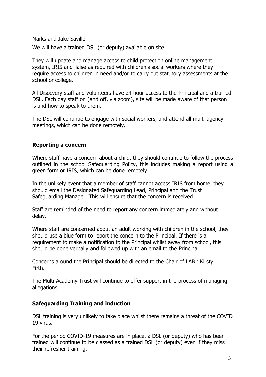Marks and Jake Saville

We will have a trained DSL (or deputy) available on site.

They will update and manage access to child protection online management system, IRIS and liaise as required with children's social workers where they require access to children in need and/or to carry out statutory assessments at the school or college.

All Disocvery staff and volunteers have 24 hour access to the Principal and a trained DSL. Each day staff on (and off, via zoom), site will be made aware of that person is and how to speak to them.

The DSL will continue to engage with social workers, and attend all multi-agency meetings, which can be done remotely.

## **Reporting a concern**

Where staff have a concern about a child, they should continue to follow the process outlined in the school Safeguarding Policy, this includes making a report using a green form or IRIS, which can be done remotely.

In the unlikely event that a member of staff cannot access IRIS from home, they should email the Designated Safeguarding Lead, Principal and the Trust Safeguarding Manager. This will ensure that the concern is received.

Staff are reminded of the need to report any concern immediately and without delay.

Where staff are concerned about an adult working with children in the school, they should use a blue form to report the concern to the Principal. If there is a requirement to make a notification to the Principal whilst away from school, this should be done verbally and followed up with an email to the Principal.

Concerns around the Principal should be directed to the Chair of LAB : Kirsty Firth.

The Multi-Academy Trust will continue to offer support in the process of managing allegations.

## **Safeguarding Training and induction**

DSL training is very unlikely to take place whilst there remains a threat of the COVID 19 virus.

For the period COVID-19 measures are in place, a DSL (or deputy) who has been trained will continue to be classed as a trained DSL (or deputy) even if they miss their refresher training.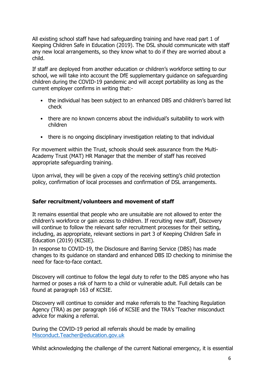All existing school staff have had safeguarding training and have read part 1 of Keeping Children Safe in Education (2019). The DSL should communicate with staff any new local arrangements, so they know what to do if they are worried about a child.

If staff are deployed from another education or children's workforce setting to our school, we will take into account the DfE supplementary guidance on safeguarding children during the COVID-19 pandemic and will accept portability as long as the current employer confirms in writing that:-

- the individual has been subject to an enhanced DBS and children's barred list check
- there are no known concerns about the individual's suitability to work with children
- there is no ongoing disciplinary investigation relating to that individual

For movement within the Trust, schools should seek assurance from the Multi-Academy Trust (MAT) HR Manager that the member of staff has received appropriate safeguarding training.

Upon arrival, they will be given a copy of the receiving setting's child protection policy, confirmation of local processes and confirmation of DSL arrangements.

## **Safer recruitment/volunteers and movement of staff**

It remains essential that people who are unsuitable are not allowed to enter the children's workforce or gain access to children. If recruiting new staff, Discovery will continue to follow the relevant safer recruitment processes for their setting, including, as appropriate, relevant sections in part 3 of Keeping Children Safe in Education (2019) (KCSIE).

In response to COVID-19, the Disclosure and Barring Service (DBS) has made changes to its guidance on standard and enhanced DBS ID checking to minimise the need for face-to-face contact.

Discovery will continue to follow the legal duty to refer to the DBS anyone who has harmed or poses a risk of harm to a child or vulnerable adult. Full details can be found at paragraph 163 of KCSIE.

Discovery will continue to consider and make referrals to the Teaching Regulation Agency (TRA) as per paragraph 166 of KCSIE and the TRA's 'Teacher misconduct advice for making a referral.

During the COVID-19 period all referrals should be made by emailing [Misconduct.Teacher@education.gov.uk](mailto:Misconduct.Teacher@education.gov.uk)

Whilst acknowledging the challenge of the current National emergency, it is essential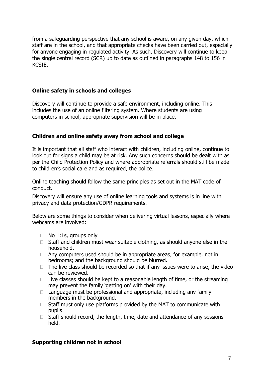from a safeguarding perspective that any school is aware, on any given day, which staff are in the school, and that appropriate checks have been carried out, especially for anyone engaging in regulated activity. As such, Discovery will continue to keep the single central record (SCR) up to date as outlined in paragraphs 148 to 156 in KCSIE.

#### **Online safety in schools and colleges**

Discovery will continue to provide a safe environment, including online. This includes the use of an online filtering system. Where students are using computers in school, appropriate supervision will be in place.

#### **Children and online safety away from school and college**

It is important that all staff who interact with children, including online, continue to look out for signs a child may be at risk. Any such concerns should be dealt with as per the Child Protection Policy and where appropriate referrals should still be made to children's social care and as required, the police.

Online teaching should follow the same principles as set out in the MAT code of conduct.

Discovery will ensure any use of online learning tools and systems is in line with privacy and data protection/GDPR requirements.

Below are some things to consider when delivering virtual lessons, especially where webcams are involved:

- $\Box$  No 1:1s, groups only
- $\Box$  Staff and children must wear suitable clothing, as should anyone else in the household.
- $\Box$  Any computers used should be in appropriate areas, for example, not in bedrooms; and the background should be blurred.
- $\Box$  The live class should be recorded so that if any issues were to arise, the video can be reviewed.
- $\Box$  Live classes should be kept to a reasonable length of time, or the streaming may prevent the family 'getting on' with their day.
- $\Box$  Language must be professional and appropriate, including any family members in the background.
- $\Box$  Staff must only use platforms provided by the MAT to communicate with pupils
- $\Box$  Staff should record, the length, time, date and attendance of any sessions held.

#### **Supporting children not in school**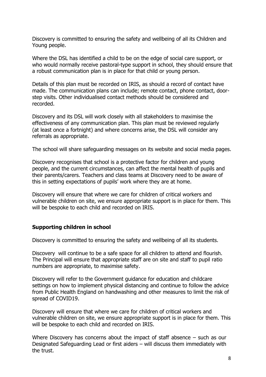Discovery is committed to ensuring the safety and wellbeing of all its Children and Young people.

Where the DSL has identified a child to be on the edge of social care support, or who would normally receive pastoral-type support in school, they should ensure that a robust communication plan is in place for that child or young person.

Details of this plan must be recorded on IRIS, as should a record of contact have made. The communication plans can include; remote contact, phone contact, doorstep visits. Other individualised contact methods should be considered and recorded.

Discovery and its DSL will work closely with all stakeholders to maximise the effectiveness of any communication plan. This plan must be reviewed regularly (at least once a fortnight) and where concerns arise, the DSL will consider any referrals as appropriate.

The school will share safeguarding messages on its website and social media pages.

Discovery recognises that school is a protective factor for children and young people, and the current circumstances, can affect the mental health of pupils and their parents/carers. Teachers and class teams at Discovery need to be aware of this in setting expectations of pupils' work where they are at home.

Discovery will ensure that where we care for children of critical workers and vulnerable children on site, we ensure appropriate support is in place for them. This will be bespoke to each child and recorded on IRIS.

#### **Supporting children in school**

Discovery is committed to ensuring the safety and wellbeing of all its students.

Discovery will continue to be a safe space for all children to attend and flourish. The Principal will ensure that appropriate staff are on site and staff to pupil ratio numbers are appropriate, to maximise safety.

Discovery will refer to the Government guidance for education and childcare settings on how to implement physical distancing and continue to follow the advice from Public Health England on handwashing and other measures to limit the risk of spread of COVID19.

Discovery will ensure that where we care for children of critical workers and vulnerable children on site, we ensure appropriate support is in place for them. This will be bespoke to each child and recorded on IRIS.

Where Discovery has concerns about the impact of staff absence – such as our Designated Safeguarding Lead or first aiders – will discuss them immediately with the trust.